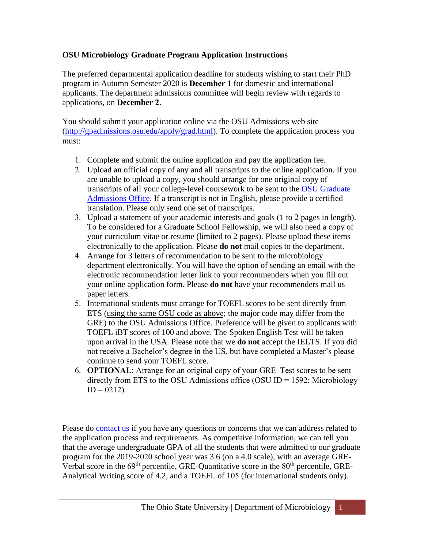## **OSU Microbiology Graduate Program Application Instructions**

The preferred departmental application deadline for students wishing to start their PhD program in Autumn Semester 2020 is **December 1** for domestic and international applicants. The department admissions committee will begin review with regards to applications, on **December 2**.

You should submit your application online via the OSU Admissions web site [\(http://gpadmissions.osu.edu/apply/grad.html\)](http://gpadmissions.osu.edu/apply/grad.html). To complete the application process you must:

- 1. Complete and submit the online application and pay the application fee.
- 2. Upload an official copy of any and all transcripts to the online application. If you are unable to upload a copy, you should arrange for one original copy of transcripts of all your college-level coursework to be sent to the [OSU Graduate](http://gpadmissions.osu.edu/) [Admissions Office.](http://gpadmissions.osu.edu/) If a transcript is not in English, please provide a certified translation. Please only send one set of transcripts.
- 3. Upload a statement of your academic interests and goals (1 to 2 pages in length). To be considered for a Graduate School Fellowship, we will also need a copy of your curriculum vitae or resume (limited to 2 pages). Please upload these items electronically to the application. Please **do not** mail copies to the department.
- 4. Arrange for 3 letters of recommendation to be sent to the microbiology department electronically. You will have the option of sending an email with the electronic recommendation letter link to your recommenders when you fill out your online application form. Please **do not** have your recommenders mail us paper letters.
- 5. International students must arrange for TOEFL scores to be sent directly from ETS (using the same OSU code as above; the major code may differ from the GRE) to the OSU Admissions Office. Preference will be given to applicants with TOEFL iBT scores of 100 and above. The Spoken English Test will be taken upon arrival in the USA. Please note that we **do not** accept the IELTS. If you did not receive a Bachelor's degree in the US, but have completed a Master's please continue to send your TOEFL score.
- 6. **OPTIONAL**: Arrange for an original copy of your GRE Test scores to be sent directly from ETS to the OSU Admissions office (OSU ID = 1592; Microbiology  $ID = 0212$ ).

Please do [contact us](mailto:micro.grad@osu.edu) if you have any questions or concerns that we can address related to the application process and requirements. As competitive information, we can tell you that the average undergraduate GPA of all the students that were admitted to our graduate program for the 2019-2020 school year was 3.6 (on a 4.0 scale), with an average GRE-Verbal score in the 69<sup>th</sup> percentile, GRE-Quantitative score in the 80<sup>th</sup> percentile, GRE-Analytical Writing score of 4.2, and a TOEFL of 105 (for international students only).